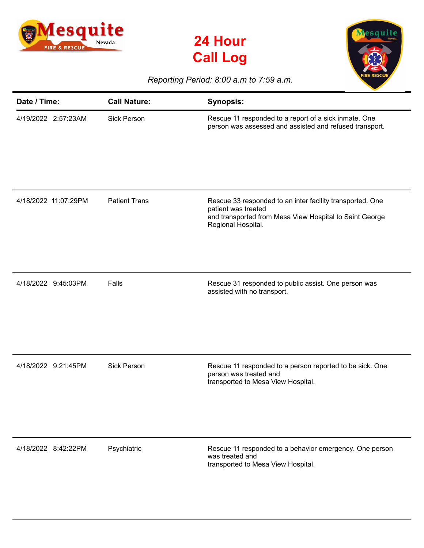





## *Reporting Period: 8:00 a.m to 7:59 a.m.*

| Date / Time:         | <b>Call Nature:</b>  | <b>Synopsis:</b>                                                                                                                                                  |
|----------------------|----------------------|-------------------------------------------------------------------------------------------------------------------------------------------------------------------|
| 4/19/2022 2:57:23AM  | <b>Sick Person</b>   | Rescue 11 responded to a report of a sick inmate. One<br>person was assessed and assisted and refused transport.                                                  |
| 4/18/2022 11:07:29PM | <b>Patient Trans</b> | Rescue 33 responded to an inter facility transported. One<br>patient was treated<br>and transported from Mesa View Hospital to Saint George<br>Regional Hospital. |
| 4/18/2022 9:45:03PM  | Falls                | Rescue 31 responded to public assist. One person was<br>assisted with no transport.                                                                               |
| 4/18/2022 9:21:45PM  | <b>Sick Person</b>   | Rescue 11 responded to a person reported to be sick. One<br>person was treated and<br>transported to Mesa View Hospital.                                          |
| 4/18/2022 8:42:22PM  | Psychiatric          | Rescue 11 responded to a behavior emergency. One person<br>was treated and<br>transported to Mesa View Hospital.                                                  |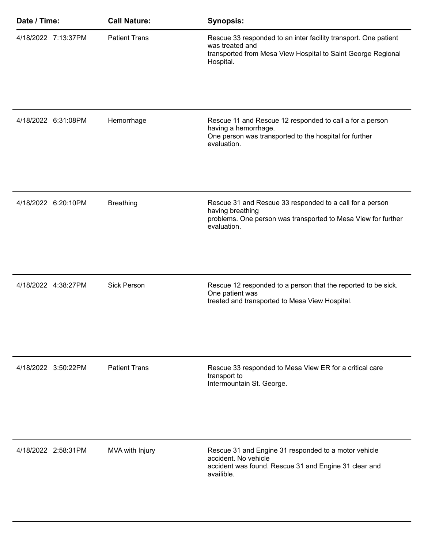| Date / Time: |                     | <b>Call Nature:</b>  | <b>Synopsis:</b>                                                                                                                                                |
|--------------|---------------------|----------------------|-----------------------------------------------------------------------------------------------------------------------------------------------------------------|
|              | 4/18/2022 7:13:37PM | <b>Patient Trans</b> | Rescue 33 responded to an inter facility transport. One patient<br>was treated and<br>transported from Mesa View Hospital to Saint George Regional<br>Hospital. |
|              | 4/18/2022 6:31:08PM | Hemorrhage           | Rescue 11 and Rescue 12 responded to call a for a person<br>having a hemorrhage.<br>One person was transported to the hospital for further<br>evaluation.       |
|              | 4/18/2022 6:20:10PM | <b>Breathing</b>     | Rescue 31 and Rescue 33 responded to a call for a person<br>having breathing<br>problems. One person was transported to Mesa View for further<br>evaluation.    |
|              | 4/18/2022 4:38:27PM | <b>Sick Person</b>   | Rescue 12 responded to a person that the reported to be sick.<br>One patient was<br>treated and transported to Mesa View Hospital.                              |
|              | 4/18/2022 3:50:22PM | <b>Patient Trans</b> | Rescue 33 responded to Mesa View ER for a critical care<br>transport to<br>Intermountain St. George.                                                            |
|              | 4/18/2022 2:58:31PM | MVA with Injury      | Rescue 31 and Engine 31 responded to a motor vehicle<br>accident. No vehicle<br>accident was found. Rescue 31 and Engine 31 clear and<br>availible.             |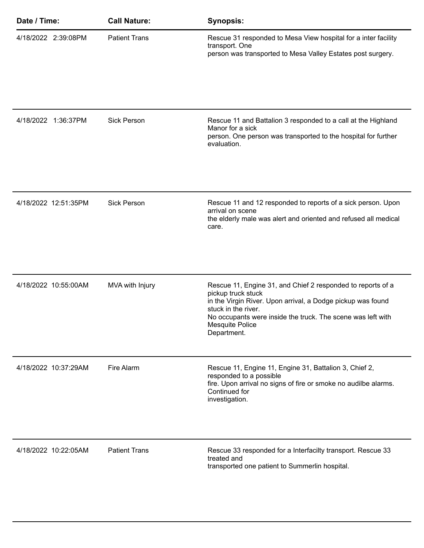| Date / Time:         | <b>Call Nature:</b>  | <b>Synopsis:</b>                                                                                                                                                                                                                                                         |
|----------------------|----------------------|--------------------------------------------------------------------------------------------------------------------------------------------------------------------------------------------------------------------------------------------------------------------------|
| 4/18/2022 2:39:08PM  | <b>Patient Trans</b> | Rescue 31 responded to Mesa View hospital for a inter facility<br>transport. One<br>person was transported to Mesa Valley Estates post surgery.                                                                                                                          |
| 4/18/2022 1:36:37PM  | <b>Sick Person</b>   | Rescue 11 and Battalion 3 responded to a call at the Highland<br>Manor for a sick<br>person. One person was transported to the hospital for further<br>evaluation.                                                                                                       |
| 4/18/2022 12:51:35PM | <b>Sick Person</b>   | Rescue 11 and 12 responded to reports of a sick person. Upon<br>arrival on scene<br>the elderly male was alert and oriented and refused all medical<br>care.                                                                                                             |
| 4/18/2022 10:55:00AM | MVA with Injury      | Rescue 11, Engine 31, and Chief 2 responded to reports of a<br>pickup truck stuck<br>in the Virgin River. Upon arrival, a Dodge pickup was found<br>stuck in the river.<br>No occupants were inside the truck. The scene was left with<br>Mesquite Police<br>Department. |
| 4/18/2022 10:37:29AM | Fire Alarm           | Rescue 11, Engine 11, Engine 31, Battalion 3, Chief 2,<br>responded to a possible<br>fire. Upon arrival no signs of fire or smoke no audilbe alarms.<br>Continued for<br>investigation.                                                                                  |
| 4/18/2022 10:22:05AM | <b>Patient Trans</b> | Rescue 33 responded for a Interfacilty transport. Rescue 33<br>treated and<br>transported one patient to Summerlin hospital.                                                                                                                                             |